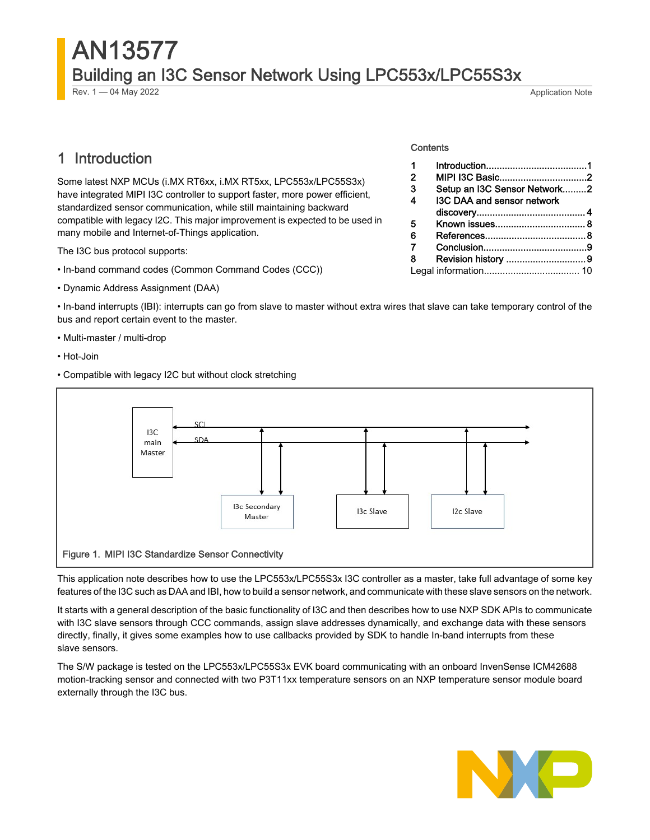# AN13577 Building an I3C Sensor Network Using LPC553x/LPC55S3x

Rev. 1 — 04 May 2022 Application Note

1 Introduction

1 Introduction......................................1 [MIPI I3C Basic.................................2](#page-1-0) [Setup an I3C Sensor Network.........2](#page-1-0) [I3C DAA and sensor network](#page-3-0) 

[discovery.........................................](#page-3-0) 4 [Known issues..................................](#page-7-0) 8 [References......................................8](#page-7-0) [Conclusion.......................................9](#page-8-0) [Revision history ..............................9](#page-8-0) [Legal information....................................](#page-9-0) 10

Some latest NXP MCUs (i.MX RT6xx, i.MX RT5xx, LPC553x/LPC55S3x) have integrated MIPI I3C controller to support faster, more power efficient, standardized sensor communication, while still maintaining backward compatible with legacy I2C. This major improvement is expected to be used in many mobile and Internet-of-Things application.

The I3C bus protocol supports:

- In-band command codes (Common Command Codes (CCC))
- Dynamic Address Assignment (DAA)

• In-band interrupts (IBI): interrupts can go from slave to master without extra wires that slave can take temporary control of the bus and report certain event to the master.

**Contents** 

- Multi-master / multi-drop
- Hot-Join
- Compatible with legacy I2C but without clock stretching



This application note describes how to use the LPC553x/LPC55S3x I3C controller as a master, take full advantage of some key features of the I3C such as DAA and IBI, how to build a sensor network, and communicate with these slave sensors on the network.

It starts with a general description of the basic functionality of I3C and then describes how to use NXP SDK APIs to communicate with I3C slave sensors through CCC commands, assign slave addresses dynamically, and exchange data with these sensors directly, finally, it gives some examples how to use callbacks provided by SDK to handle In-band interrupts from these slave sensors.

The S/W package is tested on the LPC553x/LPC55S3x EVK board communicating with an onboard InvenSense ICM42688 motion-tracking sensor and connected with two P3T11xx temperature sensors on an NXP temperature sensor module board externally through the I3C bus.

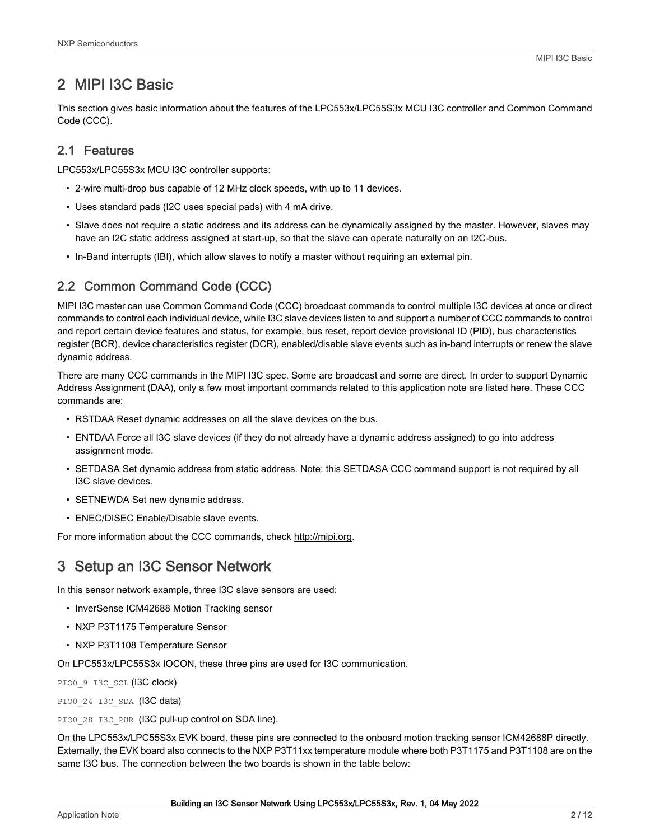### <span id="page-1-0"></span>2 MIPI I3C Basic

This section gives basic information about the features of the LPC553x/LPC55S3x MCU I3C controller and Common Command Code (CCC).

### 2.1 Features

LPC553x/LPC55S3x MCU I3C controller supports:

- 2-wire multi-drop bus capable of 12 MHz clock speeds, with up to 11 devices.
- Uses standard pads (I2C uses special pads) with 4 mA drive.
- Slave does not require a static address and its address can be dynamically assigned by the master. However, slaves may have an I2C static address assigned at start-up, so that the slave can operate naturally on an I2C-bus.
- In-Band interrupts (IBI), which allow slaves to notify a master without requiring an external pin.

### 2.2 Common Command Code (CCC)

MIPI I3C master can use Common Command Code (CCC) broadcast commands to control multiple I3C devices at once or direct commands to control each individual device, while I3C slave devices listen to and support a number of CCC commands to control and report certain device features and status, for example, bus reset, report device provisional ID (PID), bus characteristics register (BCR), device characteristics register (DCR), enabled/disable slave events such as in-band interrupts or renew the slave dynamic address.

There are many CCC commands in the MIPI I3C spec. Some are broadcast and some are direct. In order to support Dynamic Address Assignment (DAA), only a few most important commands related to this application note are listed here. These CCC commands are:

- RSTDAA Reset dynamic addresses on all the slave devices on the bus.
- ENTDAA Force all I3C slave devices (if they do not already have a dynamic address assigned) to go into address assignment mode.
- SETDASA Set dynamic address from static address. Note: this SETDASA CCC command support is not required by all I3C slave devices.
- SETNEWDA Set new dynamic address.
- ENEC/DISEC Enable/Disable slave events.

For more information about the CCC commands, check http://mipi.org.

### 3 Setup an I3C Sensor Network

In this sensor network example, three I3C slave sensors are used:

- InverSense ICM42688 Motion Tracking sensor
- NXP P3T1175 Temperature Sensor
- NXP P3T1108 Temperature Sensor

On LPC553x/LPC55S3x IOCON, these three pins are used for I3C communication.

PIO0 9 I3C SCL (I3C clock)

PIO0 24 I3C SDA (I3C data)

PIO0\_28\_I3C\_PUR (I3C pull-up control on SDA line).

On the LPC553x/LPC55S3x EVK board, these pins are connected to the onboard motion tracking sensor ICM42688P directly. Externally, the EVK board also connects to the NXP P3T11xx temperature module where both P3T1175 and P3T1108 are on the same I3C bus. The connection between the two boards is shown in the table below: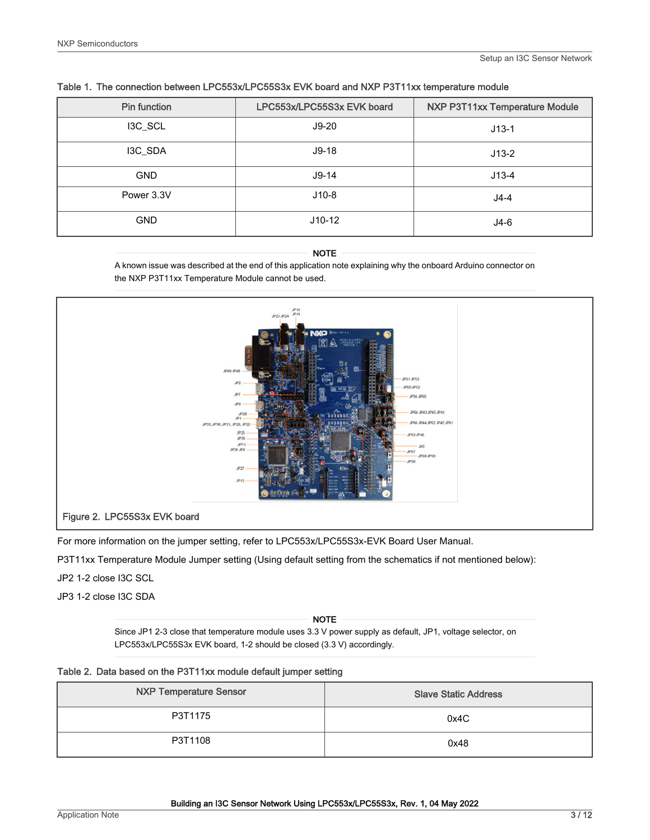| <b>Pin function</b> | LPC553x/LPC55S3x EVK board | NXP P3T11xx Temperature Module |
|---------------------|----------------------------|--------------------------------|
| I3C_SCL             | $J9-20$                    | $J13-1$                        |
| I3C_SDA             | $J9-18$                    | $J13-2$                        |
| <b>GND</b>          | $J9-14$                    | $J13-4$                        |
| Power 3.3V          | $J10-8$                    | $J4-4$                         |
| <b>GND</b>          | $J10-12$                   | J4-6                           |

#### Table 1. The connection between LPC553x/LPC55S3x EVK board and NXP P3T11xx temperature module

#### NOTE

A known issue was described at the end of this application note explaining why the onboard Arduino connector on the NXP P3T11xx Temperature Module cannot be used.



For more information on the jumper setting, refer to LPC553x/LPC55S3x-EVK Board User Manual.

P3T11xx Temperature Module Jumper setting (Using default setting from the schematics if not mentioned below):

#### JP2 1-2 close I3C SCL

JP3 1-2 close I3C SDA

Since JP1 2-3 close that temperature module uses 3.3 V power supply as default, JP1, voltage selector, on LPC553x/LPC55S3x EVK board, 1-2 should be closed (3.3 V) accordingly. NOTE

| <b>NXP Temperature Sensor</b> | <b>Slave Static Address</b> |
|-------------------------------|-----------------------------|
| P3T1175                       | 0x4C                        |
| P3T1108                       | 0x48                        |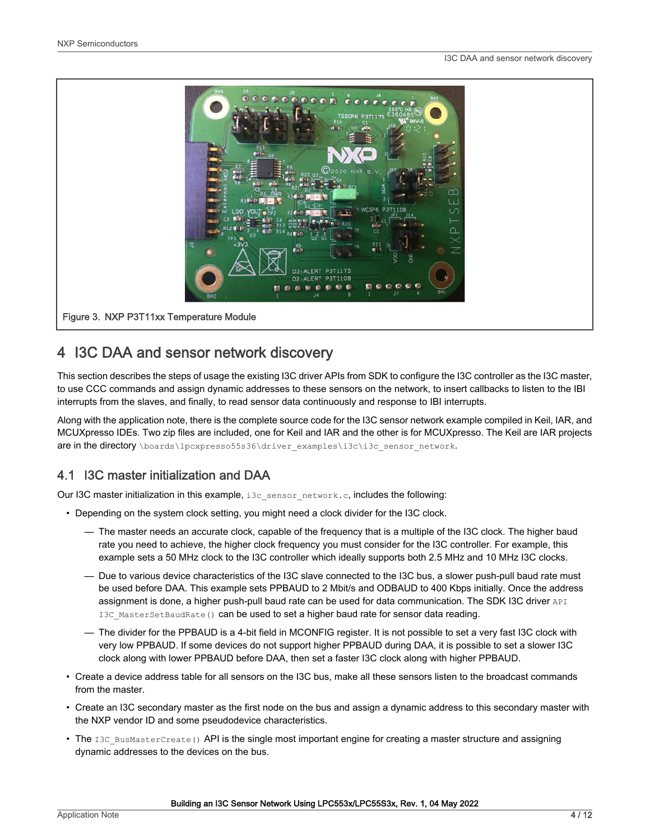<span id="page-3-0"></span>

### 4 I3C DAA and sensor network discovery

This section describes the steps of usage the existing I3C driver APIs from SDK to configure the I3C controller as the I3C master, to use CCC commands and assign dynamic addresses to these sensors on the network, to insert callbacks to listen to the IBI interrupts from the slaves, and finally, to read sensor data continuously and response to IBI interrupts.

Along with the application note, there is the complete source code for the I3C sensor network example compiled in Keil, IAR, and MCUXpresso IDEs. Two zip files are included, one for Keil and IAR and the other is for MCUXpresso. The Keil are IAR projects are in the directory \boards\lpcxpresso55s36\driver\_examples\i3c\i3c\_sensor\_network.

### 4.1 I3C master initialization and DAA

Our I3C master initialization in this example, i3c\_sensor\_network.c, includes the following:

- Depending on the system clock setting, you might need a clock divider for the I3C clock.
	- The master needs an accurate clock, capable of the frequency that is a multiple of the I3C clock. The higher baud rate you need to achieve, the higher clock frequency you must consider for the I3C controller. For example, this example sets a 50 MHz clock to the I3C controller which ideally supports both 2.5 MHz and 10 MHz I3C clocks.
	- Due to various device characteristics of the I3C slave connected to the I3C bus, a slower push-pull baud rate must be used before DAA. This example sets PPBAUD to 2 Mbit/s and ODBAUD to 400 Kbps initially. Once the address assignment is done, a higher push-pull baud rate can be used for data communication. The SDK I3C driver API I3C MasterSetBaudRate() can be used to set a higher baud rate for sensor data reading.
	- The divider for the PPBAUD is a 4-bit field in MCONFIG register. It is not possible to set a very fast I3C clock with very low PPBAUD. If some devices do not support higher PPBAUD during DAA, it is possible to set a slower I3C clock along with lower PPBAUD before DAA, then set a faster I3C clock along with higher PPBAUD.
- Create a device address table for all sensors on the I3C bus, make all these sensors listen to the broadcast commands from the master.
- Create an I3C secondary master as the first node on the bus and assign a dynamic address to this secondary master with the NXP vendor ID and some pseudodevice characteristics.
- The I3C BusMasterCreate() API is the single most important engine for creating a master structure and assigning dynamic addresses to the devices on the bus.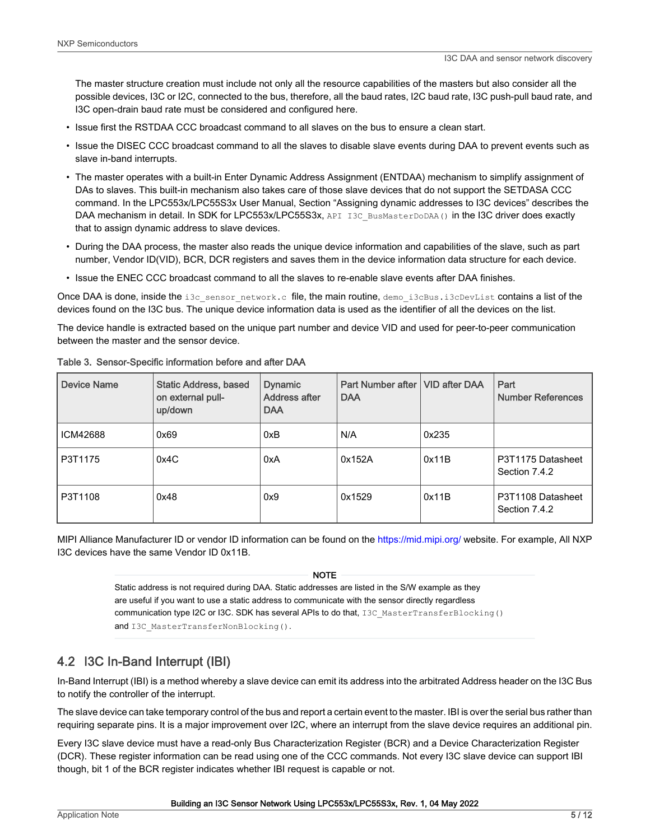The master structure creation must include not only all the resource capabilities of the masters but also consider all the possible devices, I3C or I2C, connected to the bus, therefore, all the baud rates, I2C baud rate, I3C push-pull baud rate, and I3C open-drain baud rate must be considered and configured here.

- Issue first the RSTDAA CCC broadcast command to all slaves on the bus to ensure a clean start.
- Issue the DISEC CCC broadcast command to all the slaves to disable slave events during DAA to prevent events such as slave in-band interrupts.
- The master operates with a built-in Enter Dynamic Address Assignment (ENTDAA) mechanism to simplify assignment of DAs to slaves. This built-in mechanism also takes care of those slave devices that do not support the SETDASA CCC command. In the LPC553x/LPC55S3x User Manual, Section "Assigning dynamic addresses to I3C devices" describes the DAA mechanism in detail. In SDK for LPC553x/LPC55S3x, API I3C\_BusMasterDoDAA() in the I3C driver does exactly that to assign dynamic address to slave devices.
- During the DAA process, the master also reads the unique device information and capabilities of the slave, such as part number, Vendor ID(VID), BCR, DCR registers and saves them in the device information data structure for each device.
- Issue the ENEC CCC broadcast command to all the slaves to re-enable slave events after DAA finishes.

Once DAA is done, inside the i3c\_sensor\_network.c file, the main routine, demo\_i3cBus.i3cDevList contains a list of the devices found on the I3C bus. The unique device information data is used as the identifier of all the devices on the list.

The device handle is extracted based on the unique part number and device VID and used for peer-to-peer communication between the master and the sensor device.

| <b>Device Name</b> | <b>Static Address, based</b><br>on external pull-<br>up/down | <b>Dynamic</b><br>Address after<br><b>DAA</b> | Part Number after   VID after DAA<br><b>DAA</b> |       | Part<br><b>Number References</b>   |
|--------------------|--------------------------------------------------------------|-----------------------------------------------|-------------------------------------------------|-------|------------------------------------|
| ICM42688           | 0x69                                                         | 0xB                                           | N/A                                             | 0x235 |                                    |
| P3T1175            | 0x4C                                                         | 0xA                                           | 0x152A                                          | 0x11B | P3T1175 Datasheet<br>Section 7.4.2 |
| P3T1108            | 0x48                                                         | 0x9                                           | 0x1529                                          | 0x11B | P3T1108 Datasheet<br>Section 7.4.2 |

Table 3. Sensor-Specific information before and after DAA

MIPI Alliance Manufacturer ID or vendor ID information can be found on the <https://mid.mipi.org/> website. For example, All NXP I3C devices have the same Vendor ID 0x11B.

NOTE

Static address is not required during DAA. Static addresses are listed in the S/W example as they are useful if you want to use a static address to communicate with the sensor directly regardless communication type I2C or I3C. SDK has several APIs to do that, I3C\_MasterTransferBlocking() and I3C MasterTransferNonBlocking().

### 4.2 I3C In-Band Interrupt (IBI)

In-Band Interrupt (IBI) is a method whereby a slave device can emit its address into the arbitrated Address header on the I3C Bus to notify the controller of the interrupt.

The slave device can take temporary control of the bus and report a certain event to the master. IBI is over the serial bus rather than requiring separate pins. It is a major improvement over I2C, where an interrupt from the slave device requires an additional pin.

Every I3C slave device must have a read-only Bus Characterization Register (BCR) and a Device Characterization Register (DCR). These register information can be read using one of the CCC commands. Not every I3C slave device can support IBI though, bit 1 of the BCR register indicates whether IBI request is capable or not.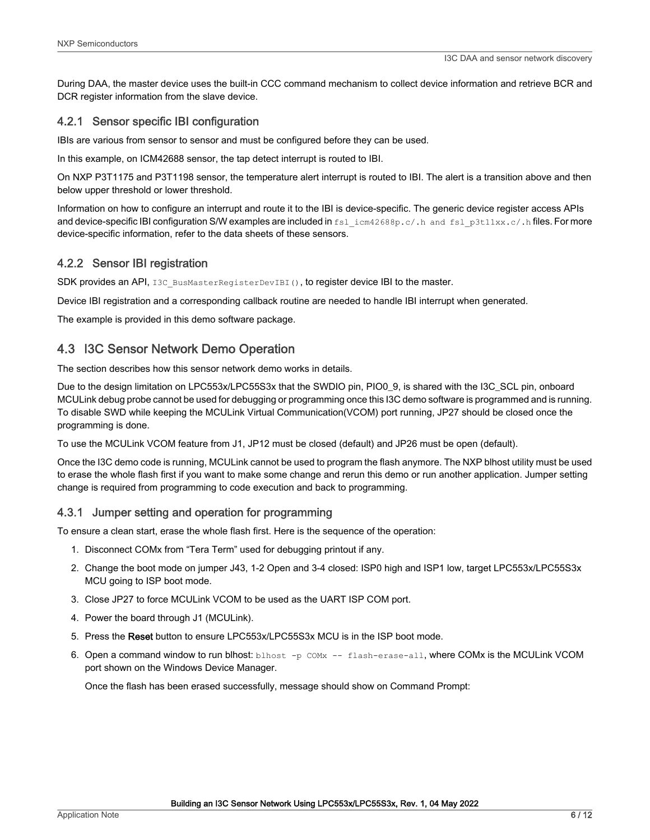<span id="page-5-0"></span>During DAA, the master device uses the built-in CCC command mechanism to collect device information and retrieve BCR and DCR register information from the slave device.

#### 4.2.1 Sensor specific IBI configuration

IBIs are various from sensor to sensor and must be configured before they can be used.

In this example, on ICM42688 sensor, the tap detect interrupt is routed to IBI.

On NXP P3T1175 and P3T1198 sensor, the temperature alert interrupt is routed to IBI. The alert is a transition above and then below upper threshold or lower threshold.

Information on how to configure an interrupt and route it to the IBI is device-specific. The generic device register access APIs and device-specific IBI configuration S/W examples are included in fsl\_icm42688p.c/.h and fsl\_p3t11xx.c/.h files. For more device-specific information, refer to the data sheets of these sensors.

#### 4.2.2 Sensor IBI registration

SDK provides an API, I3C BusMasterRegisterDevIBI(), to register device IBI to the master.

Device IBI registration and a corresponding callback routine are needed to handle IBI interrupt when generated.

The example is provided in this demo software package.

### 4.3 I3C Sensor Network Demo Operation

The section describes how this sensor network demo works in details.

Due to the design limitation on LPC553x/LPC55S3x that the SWDIO pin, PIO0\_9, is shared with the I3C\_SCL pin, onboard MCULink debug probe cannot be used for debugging or programming once this I3C demo software is programmed and is running. To disable SWD while keeping the MCULink Virtual Communication(VCOM) port running, JP27 should be closed once the programming is done.

To use the MCULink VCOM feature from J1, JP12 must be closed (default) and JP26 must be open (default).

Once the I3C demo code is running, MCULink cannot be used to program the flash anymore. The NXP blhost utility must be used to erase the whole flash first if you want to make some change and rerun this demo or run another application. Jumper setting change is required from programming to code execution and back to programming.

#### 4.3.1 Jumper setting and operation for programming

To ensure a clean start, erase the whole flash first. Here is the sequence of the operation:

- 1. Disconnect COMx from "Tera Term" used for debugging printout if any.
- 2. Change the boot mode on jumper J43, 1-2 Open and 3-4 closed: ISP0 high and ISP1 low, target LPC553x/LPC55S3x MCU going to ISP boot mode.
- 3. Close JP27 to force MCULink VCOM to be used as the UART ISP COM port.
- 4. Power the board through J1 (MCULink).
- 5. Press the Reset button to ensure LPC553x/LPC55S3x MCU is in the ISP boot mode.
- 6. Open a command window to run blhost:  $b$ lhost  $-p$  COMx  $-$  flash-erase-all, where COMx is the MCULink VCOM port shown on the Windows Device Manager.

Once the flash has been erased successfully, message should show on Command Prompt: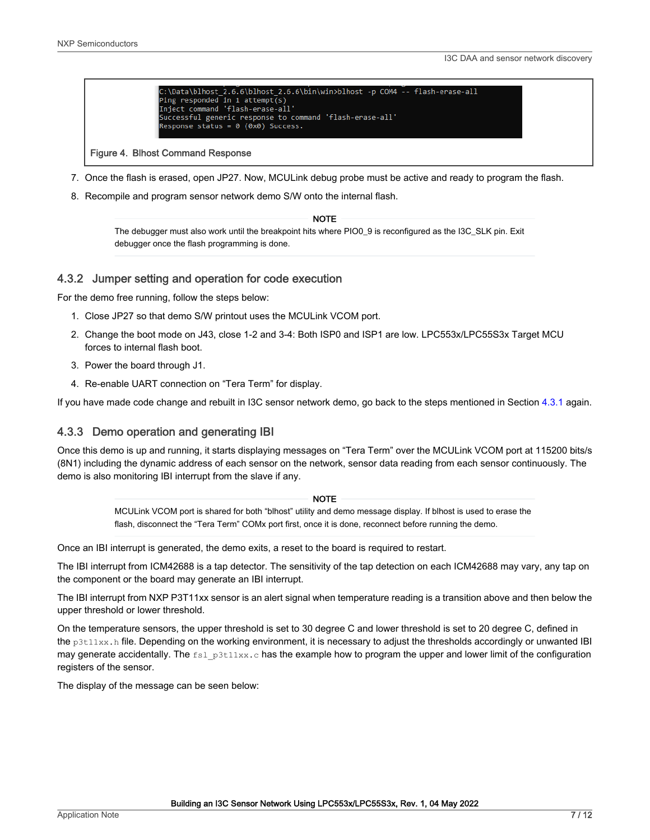

#### Figure 4. Blhost Command Response

- 7. Once the flash is erased, open JP27. Now, MCULink debug probe must be active and ready to program the flash.
- 8. Recompile and program sensor network demo S/W onto the internal flash.

The debugger must also work until the breakpoint hits where PIO0\_9 is reconfigured as the I3C\_SLK pin. Exit debugger once the flash programming is done. **NOTE** 

#### 4.3.2 Jumper setting and operation for code execution

For the demo free running, follow the steps below:

- 1. Close JP27 so that demo S/W printout uses the MCULink VCOM port.
- 2. Change the boot mode on J43, close 1-2 and 3-4: Both ISP0 and ISP1 are low. LPC553x/LPC55S3x Target MCU forces to internal flash boot.
- 3. Power the board through J1.
- 4. Re-enable UART connection on "Tera Term" for display.

If you have made code change and rebuilt in I3C sensor network demo, go back to the steps mentioned in Section [4.3.1](#page-5-0) again.

#### 4.3.3 Demo operation and generating IBI

Once this demo is up and running, it starts displaying messages on "Tera Term" over the MCULink VCOM port at 115200 bits/s (8N1) including the dynamic address of each sensor on the network, sensor data reading from each sensor continuously. The demo is also monitoring IBI interrupt from the slave if any.

#### **NOTE**

MCULink VCOM port is shared for both "blhost" utility and demo message display. If blhost is used to erase the flash, disconnect the "Tera Term" COMx port first, once it is done, reconnect before running the demo.

Once an IBI interrupt is generated, the demo exits, a reset to the board is required to restart.

The IBI interrupt from ICM42688 is a tap detector. The sensitivity of the tap detection on each ICM42688 may vary, any tap on the component or the board may generate an IBI interrupt.

The IBI interrupt from NXP P3T11xx sensor is an alert signal when temperature reading is a transition above and then below the upper threshold or lower threshold.

On the temperature sensors, the upper threshold is set to 30 degree C and lower threshold is set to 20 degree C, defined in the p3t11xx.h file. Depending on the working environment, it is necessary to adjust the thresholds accordingly or unwanted IBI may generate accidentally. The  $f \text{sl}_p3t11xx.c$  has the example how to program the upper and lower limit of the configuration registers of the sensor.

The display of the message can be seen below: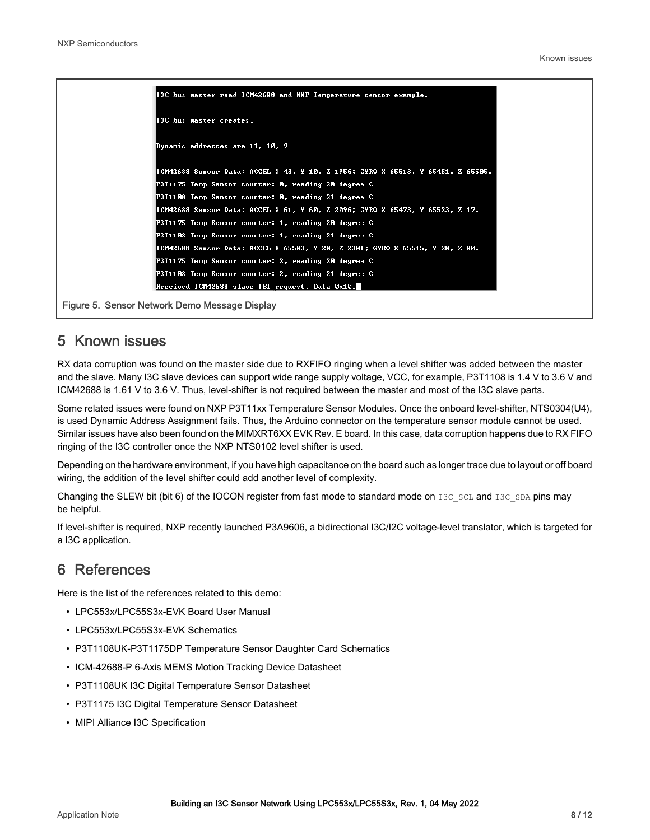<span id="page-7-0"></span>

| I3C bus master read ICM42688 and NXP Temperature sensor example.                |
|---------------------------------------------------------------------------------|
| II3C bus master creates.                                                        |
| Dynamic addresses are 11, 10, 9                                                 |
| ICM42688 Sensor Data: ACCEL X 43, Y 10, Z 1956; GYRO X 65513, Y 65451, Z 65505. |
| P3T1175 Temp Sensor counter: 0, reading 20 degree C                             |
| P3T1108 Temp Sensor counter: 0, reading 21 degree C                             |
| ICM42688 Sensor Data: ACCEL X 61, Y 60, Z 2096; GYRO X 65473, Y 65523, Z 17.    |
| P3T1175 Temp Sensor counter: 1, reading 20 degree C                             |
| P3T1108 Temp Sensor counter: 1, reading 21 degree C                             |
| ICM42688 Sensor Data: ACCEL X 65503, Y 20, Z 2301; GYRO X 65515, Y 20, Z 80.    |
| P3T1175 Temp Sensor counter: 2, reading 20 degree C                             |
| P3T1108 Temp Sensor counter: 2, reading 21 degree C                             |
| Received ICM42688 slave IBI request. Data 0x10.                                 |

Figure 5. Sensor Network Demo Message Display

### 5 Known issues

RX data corruption was found on the master side due to RXFIFO ringing when a level shifter was added between the master and the slave. Many I3C slave devices can support wide range supply voltage, VCC, for example, P3T1108 is 1.4 V to 3.6 V and ICM42688 is 1.61 V to 3.6 V. Thus, level-shifter is not required between the master and most of the I3C slave parts.

Some related issues were found on NXP P3T11xx Temperature Sensor Modules. Once the onboard level-shifter, NTS0304(U4), is used Dynamic Address Assignment fails. Thus, the Arduino connector on the temperature sensor module cannot be used. Similar issues have also been found on the MIMXRT6XX EVK Rev. E board. In this case, data corruption happens due to RX FIFO ringing of the I3C controller once the NXP NTS0102 level shifter is used.

Depending on the hardware environment, if you have high capacitance on the board such as longer trace due to layout or off board wiring, the addition of the level shifter could add another level of complexity.

Changing the SLEW bit (bit 6) of the IOCON register from fast mode to standard mode on I3C\_SCL and I3C\_SDA pins may be helpful.

If level-shifter is required, NXP recently launched P3A9606, a bidirectional I3C/I2C voltage-level translator, which is targeted for a I3C application.

### 6 References

Here is the list of the references related to this demo:

- LPC553x/LPC55S3x-EVK Board User Manual
- LPC553x/LPC55S3x-EVK Schematics
- P3T1108UK-P3T1175DP Temperature Sensor Daughter Card Schematics
- ICM-42688-P 6-Axis MEMS Motion Tracking Device Datasheet
- P3T1108UK I3C Digital Temperature Sensor Datasheet
- P3T1175 I3C Digital Temperature Sensor Datasheet
- MIPI Alliance I3C Specification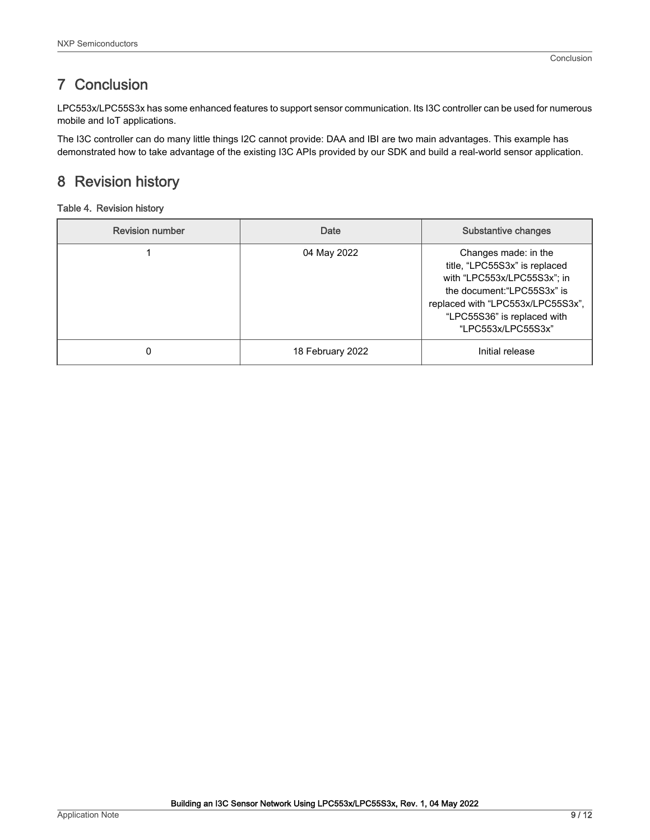### <span id="page-8-0"></span>7 Conclusion

LPC553x/LPC55S3x has some enhanced features to support sensor communication. Its I3C controller can be used for numerous mobile and IoT applications.

The I3C controller can do many little things I2C cannot provide: DAA and IBI are two main advantages. This example has demonstrated how to take advantage of the existing I3C APIs provided by our SDK and build a real-world sensor application.

## 8 Revision history

#### Table 4. Revision history

| <b>Revision number</b> | Date             | <b>Substantive changes</b>                                                                                                                                                                                    |
|------------------------|------------------|---------------------------------------------------------------------------------------------------------------------------------------------------------------------------------------------------------------|
|                        | 04 May 2022      | Changes made: in the<br>title, "LPC55S3x" is replaced<br>with "LPC553x/LPC55S3x"; in<br>the document: "LPC55S3x" is<br>replaced with "LPC553x/LPC55S3x",<br>"LPC55S36" is replaced with<br>"LPC553x/LPC55S3x" |
|                        | 18 February 2022 | Initial release                                                                                                                                                                                               |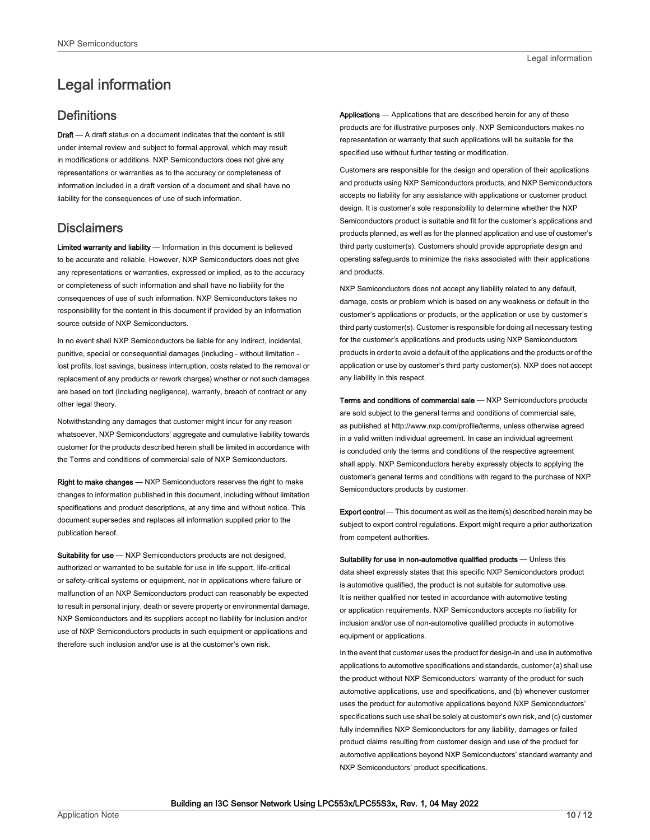## <span id="page-9-0"></span>Legal information

#### **Definitions**

Draft - A draft status on a document indicates that the content is still under internal review and subject to formal approval, which may result in modifications or additions. NXP Semiconductors does not give any representations or warranties as to the accuracy or completeness of information included in a draft version of a document and shall have no liability for the consequences of use of such information.

### **Disclaimers**

Limited warranty and liability - Information in this document is believed to be accurate and reliable. However, NXP Semiconductors does not give any representations or warranties, expressed or implied, as to the accuracy or completeness of such information and shall have no liability for the consequences of use of such information. NXP Semiconductors takes no responsibility for the content in this document if provided by an information source outside of NXP Semiconductors.

In no event shall NXP Semiconductors be liable for any indirect, incidental, punitive, special or consequential damages (including - without limitation lost profits, lost savings, business interruption, costs related to the removal or replacement of any products or rework charges) whether or not such damages are based on tort (including negligence), warranty, breach of contract or any other legal theory.

Notwithstanding any damages that customer might incur for any reason whatsoever, NXP Semiconductors' aggregate and cumulative liability towards customer for the products described herein shall be limited in accordance with the Terms and conditions of commercial sale of NXP Semiconductors.

Right to make changes — NXP Semiconductors reserves the right to make changes to information published in this document, including without limitation specifications and product descriptions, at any time and without notice. This document supersedes and replaces all information supplied prior to the publication hereof.

Suitability for use - NXP Semiconductors products are not designed, authorized or warranted to be suitable for use in life support, life-critical or safety-critical systems or equipment, nor in applications where failure or malfunction of an NXP Semiconductors product can reasonably be expected to result in personal injury, death or severe property or environmental damage. NXP Semiconductors and its suppliers accept no liability for inclusion and/or use of NXP Semiconductors products in such equipment or applications and therefore such inclusion and/or use is at the customer's own risk.

Applications — Applications that are described herein for any of these products are for illustrative purposes only. NXP Semiconductors makes no representation or warranty that such applications will be suitable for the specified use without further testing or modification.

Customers are responsible for the design and operation of their applications and products using NXP Semiconductors products, and NXP Semiconductors accepts no liability for any assistance with applications or customer product design. It is customer's sole responsibility to determine whether the NXP Semiconductors product is suitable and fit for the customer's applications and products planned, as well as for the planned application and use of customer's third party customer(s). Customers should provide appropriate design and operating safeguards to minimize the risks associated with their applications and products.

NXP Semiconductors does not accept any liability related to any default, damage, costs or problem which is based on any weakness or default in the customer's applications or products, or the application or use by customer's third party customer(s). Customer is responsible for doing all necessary testing for the customer's applications and products using NXP Semiconductors products in order to avoid a default of the applications and the products or of the application or use by customer's third party customer(s). NXP does not accept any liability in this respect.

Terms and conditions of commercial sale — NXP Semiconductors products are sold subject to the general terms and conditions of commercial sale, as published at http://www.nxp.com/profile/terms, unless otherwise agreed in a valid written individual agreement. In case an individual agreement is concluded only the terms and conditions of the respective agreement shall apply. NXP Semiconductors hereby expressly objects to applying the customer's general terms and conditions with regard to the purchase of NXP Semiconductors products by customer.

Export control - This document as well as the item(s) described herein may be subject to export control regulations. Export might require a prior authorization from competent authorities.

Suitability for use in non-automotive qualified products - Unless this data sheet expressly states that this specific NXP Semiconductors product is automotive qualified, the product is not suitable for automotive use. It is neither qualified nor tested in accordance with automotive testing or application requirements. NXP Semiconductors accepts no liability for inclusion and/or use of non-automotive qualified products in automotive equipment or applications.

In the event that customer uses the product for design-in and use in automotive applications to automotive specifications and standards, customer (a) shall use the product without NXP Semiconductors' warranty of the product for such automotive applications, use and specifications, and (b) whenever customer uses the product for automotive applications beyond NXP Semiconductors' specifications such use shall be solely at customer's own risk, and (c) customer fully indemnifies NXP Semiconductors for any liability, damages or failed product claims resulting from customer design and use of the product for automotive applications beyond NXP Semiconductors' standard warranty and NXP Semiconductors' product specifications.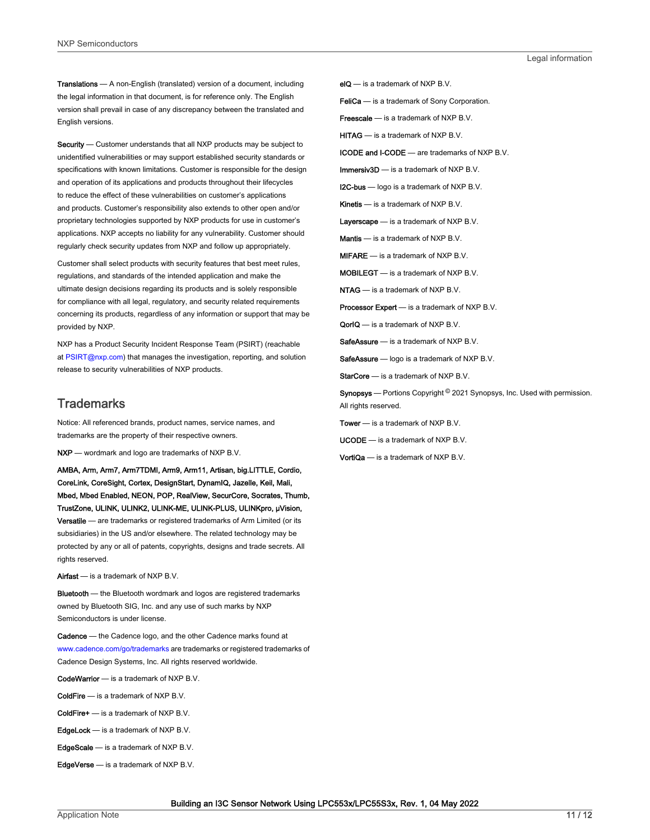Translations — A non-English (translated) version of a document, including the legal information in that document, is for reference only. The English version shall prevail in case of any discrepancy between the translated and English versions.

Security - Customer understands that all NXP products may be subject to unidentified vulnerabilities or may support established security standards or specifications with known limitations. Customer is responsible for the design and operation of its applications and products throughout their lifecycles to reduce the effect of these vulnerabilities on customer's applications and products. Customer's responsibility also extends to other open and/or proprietary technologies supported by NXP products for use in customer's applications. NXP accepts no liability for any vulnerability. Customer should regularly check security updates from NXP and follow up appropriately.

Customer shall select products with security features that best meet rules, regulations, and standards of the intended application and make the ultimate design decisions regarding its products and is solely responsible for compliance with all legal, regulatory, and security related requirements concerning its products, regardless of any information or support that may be provided by NXP.

NXP has a Product Security Incident Response Team (PSIRT) (reachable at [PSIRT@nxp.com\)](mailto:PSIRT@nxp.com) that manages the investigation, reporting, and solution release to security vulnerabilities of NXP products.

#### **Trademarks**

Notice: All referenced brands, product names, service names, and trademarks are the property of their respective owners.

NXP — wordmark and logo are trademarks of NXP B.V.

AMBA, Arm, Arm7, Arm7TDMI, Arm9, Arm11, Artisan, big.LITTLE, Cordio, CoreLink, CoreSight, Cortex, DesignStart, DynamIQ, Jazelle, Keil, Mali, Mbed, Mbed Enabled, NEON, POP, RealView, SecurCore, Socrates, Thumb, TrustZone, ULINK, ULINK2, ULINK-ME, ULINK-PLUS, ULINKpro, μVision, Versatile — are trademarks or registered trademarks of Arm Limited (or its subsidiaries) in the US and/or elsewhere. The related technology may be protected by any or all of patents, copyrights, designs and trade secrets. All rights reserved.

Airfast — is a trademark of NXP B.V.

**Bluetooth** — the Bluetooth wordmark and logos are registered trademarks owned by Bluetooth SIG, Inc. and any use of such marks by NXP Semiconductors is under license.

Cadence — the Cadence logo, and the other Cadence marks found at [www.cadence.com/go/trademarks](http://www.cadence.com/go/trademarks) are trademarks or registered trademarks of Cadence Design Systems, Inc. All rights reserved worldwide.

CodeWarrior — is a trademark of NXP B.V.

- ColdFire is a trademark of NXP B.V.
- ColdFire+ is a trademark of NXP B.V.
- EdgeLock is a trademark of NXP B.V.
- EdgeScale is a trademark of NXP B.V.
- EdgeVerse is a trademark of NXP B.V.

elQ - is a trademark of NXP B.V.

FeliCa - is a trademark of Sony Corporation.

**Freescale** — is a trademark of NXP B.V.

HITAG — is a trademark of NXP B.V.

ICODE and I-CODE — are trademarks of NXP B.V.

Immersiv3D — is a trademark of NXP B.V.

**I2C-bus** — logo is a trademark of NXP B.V.

Kinetis - is a trademark of NXP B.V.

Layerscape - is a trademark of NXP B.V.

Mantis - is a trademark of NXP B.V.

MIFARE — is a trademark of NXP B.V.

MOBILEGT — is a trademark of NXP B.V.

NTAG — is a trademark of NXP B.V.

Processor Expert - is a trademark of NXP B.V.

QorIQ - is a trademark of NXP B.V.

SafeAssure — is a trademark of NXP B.V.

SafeAssure - logo is a trademark of NXP B.V.

StarCore - is a trademark of NXP B.V.

Synopsys - Portions Copyright <sup>©</sup> 2021 Synopsys, Inc. Used with permission. All rights reserved.

Tower — is a trademark of NXP B.V.

UCODE — is a trademark of NXP B.V.

VortiQa — is a trademark of NXP B.V.